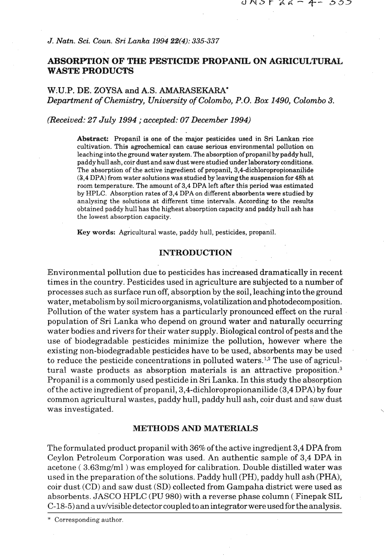*J. Natn. Sci.* **Coun. Sri Lanka 1994 22(4): 335-337** 

# **ABSORPTION OF THE PESTICIDE PROPANIL ON AGRICULTURAL WASTE PRODUCTS**

W;U.P. **DE.** ZOYSA and **A.S. AMARASEKARA'**  *Department of Chemistry, University of Colombo,* **P.O.** *Box 1490, Colombo 3.* 

*(Received: 27 July 1994* ; *accepted: 07 December 1994)* 

Abstract: Propanil is one of the major pesticides used in **Sri Lankan** rice cultivation. This agrochemical can cause serious environmental pollution on leaching into the ground water system. The absorption of propanil **by** paddy hull, paddy hull ash, coir dust and saw dust were **studiedunderlaboratoryconditions.**  The absorption of the active ingredient of propanil, **3,4-dichloropropionanilide (3,4** DPA) from water solutions was studied by leaving the suspension for 48h at room temperature. The amount of **3,4** DPA left after this period was estimated by HPLC. Absorption rates of **3,4** DPA on different absorbents were studied **by**  analysing the solutions at different time intervals. According to the results obtained paddy hull has the highest absorption capacity and paddy hull ash has the lowest absorption capacity.

Key words: Agricultural waste, paddy hull, pesticides, propanil.

#### **INTRODUCTION**

Environmental pollution due to pesticides has increased dramatically in recent times in the country. Pesticides used in agriculture are subjected to a number of processes such as surface run off, absorption by the soil, leachinginto the ground water, metabolism by soil micro organisms, volatilization and photodecomposition. Pollution of the water system has a particularly pronounced effect on the rural population of Sri Lanka who depend on ground water **and** naturally occurring water bodies and rivers for their water supply. Biological control of pests and the use of biodegradable pesticides minimize the pollution, however where the existing non-biodegradable pesticides have to be used, absorbents may be used to reduce the pesticide concentrations in polluted waters.<sup>1,2</sup> The use of agricultural waste products as absorption materials is an attractive proposition. $<sup>3</sup>$ </sup> Propanil is a commonly used pesticide in Sri Lanka. In this study the absorption of the active ingredient of propanil, **3,4-dichloropropionanilide** (3,4 DPA) by four common agricultural wastes, paddy hull, paddy hull ash, coir dust and saw dust was investigated.

### **METHODS AND MATERIALS**

The formulated product propanil with 36% of the active ingredient 3,4 DPA from Ceylon Petroleum Corporation was used. An authentic sample of 3,4 DPA in acetone (3.63mg/ml) was employed for calibration. Double distilled water was used in the preparation of the solutions. Paddy hull (PH), paddy hull ash (PHA), coir dust (CD) and saw dust (SD) collected from Gampaha district were used as absorbents. JASCO HPLC (PU 980) with a reverse phase column ( Finepak SIL C-18-5) and a uv/visible detector coupled to anintegrator wereused for the analysis.

\* Corresponding author.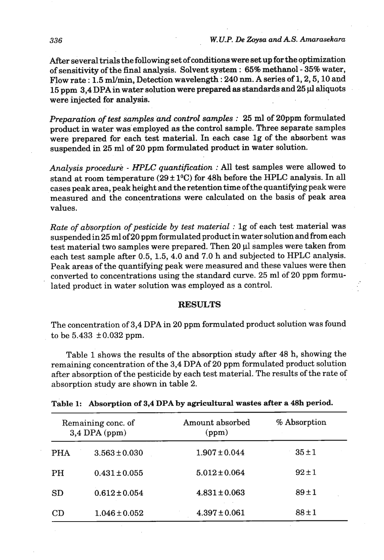After several trials the following set of conditions were set up for the optimization of sensitivity of the final analysis. Solvent system : 65% methanol - 35% water, Flow rate : 1.5 ml/min, Detection wavelength : 240 nm. A series of 1, 2, 5, 10 and 15 pprn 3,4 DPA in water solution were prepared **as** standards and **25 yl** aliquots were injected for analysis.

*Preparation of test samples and control samples* : 25 **ml** of 2Oppm formulated product in water was employed as the control sample. **Three** separate samples were prepared for each test material. In each case lg of the absorbent was suspended in **25 ml** of **20** pprn formulated product in water solution.

*Analysis procedure* - *HPLC quantification* : **All** test samples were allowed to stand at room temperature  $(29 \pm 1^0C)$  for 48h before the HPLC analysis. In all cases peak area, peak height and the retention time ofthe quantifying peak were measured and the concentrations were calculated on the basis of peak area values.

*Rate of absorption of pesticide by test material* : lg *of* each test material was suspended in 25 ml of 20 ppm formulated product in water solution and from each test material two samples were prepared. Then 20 µl samples were taken from each test sample after 0.5, 1.5,4.0 and **7.0** h and subjected to HPLC analysis. Peak areas of the quantifying peak were measured and these values were then converted to concentrations using the standard curve. 25 ml of 20 ppm formulated product in water solution was employed as a control.

## **RESULTS**

The concentration of 3,4 DPA in 20 ppm formulated product solution was found to be  $5.433 \pm 0.032$  ppm.

Table 1 shows the results of the absorption study after 48 h, showing the remaining concentration of the 3,4 DPA of 20 ppm formulated product solution after absorption of the pesticide by each test material. The results of the rate of absorption study are shown in table 2.

| Remaining conc. of<br>$3,4$ DPA (ppm) |                   | Amount absorbed<br>(ppm) | % Absorption |
|---------------------------------------|-------------------|--------------------------|--------------|
| <b>PHA</b>                            | $3.563 \pm 0.030$ | $1.907 \pm 0.044$        | $35 \pm 1$   |
| PH.                                   | $0.431 \pm 0.055$ | $5.012 \pm 0.064$        | $92 \pm 1$   |
| <b>SD</b>                             | $0.612 \pm 0.054$ | $4.831 \pm 0.063$        | $89 + 1$     |
| CD                                    | $1.046 \pm 0.052$ | $4.397 \pm 0.061$        | $88 + 1$     |

## able 1: Absorption of **3,4'DPA** by agricultural wastes after a 48h period.